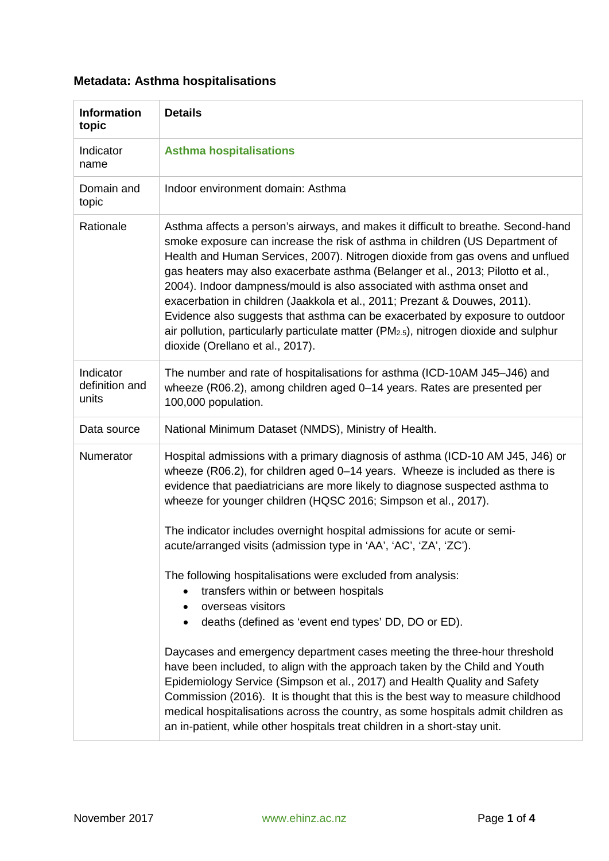## **Metadata: Asthma hospitalisations**

| <b>Information</b><br>topic          | <b>Details</b>                                                                                                                                                                                                                                                                                                                                                                                                                                                                                                                                                                                                                                                                                                      |
|--------------------------------------|---------------------------------------------------------------------------------------------------------------------------------------------------------------------------------------------------------------------------------------------------------------------------------------------------------------------------------------------------------------------------------------------------------------------------------------------------------------------------------------------------------------------------------------------------------------------------------------------------------------------------------------------------------------------------------------------------------------------|
| Indicator<br>name                    | <b>Asthma hospitalisations</b>                                                                                                                                                                                                                                                                                                                                                                                                                                                                                                                                                                                                                                                                                      |
| Domain and<br>topic                  | Indoor environment domain: Asthma                                                                                                                                                                                                                                                                                                                                                                                                                                                                                                                                                                                                                                                                                   |
| Rationale                            | Asthma affects a person's airways, and makes it difficult to breathe. Second-hand<br>smoke exposure can increase the risk of asthma in children (US Department of<br>Health and Human Services, 2007). Nitrogen dioxide from gas ovens and unflued<br>gas heaters may also exacerbate asthma (Belanger et al., 2013; Pilotto et al.,<br>2004). Indoor dampness/mould is also associated with asthma onset and<br>exacerbation in children (Jaakkola et al., 2011; Prezant & Douwes, 2011).<br>Evidence also suggests that asthma can be exacerbated by exposure to outdoor<br>air pollution, particularly particulate matter (PM <sub>2.5</sub> ), nitrogen dioxide and sulphur<br>dioxide (Orellano et al., 2017). |
| Indicator<br>definition and<br>units | The number and rate of hospitalisations for asthma (ICD-10AM J45-J46) and<br>wheeze (R06.2), among children aged 0-14 years. Rates are presented per<br>100,000 population.                                                                                                                                                                                                                                                                                                                                                                                                                                                                                                                                         |
| Data source                          | National Minimum Dataset (NMDS), Ministry of Health.                                                                                                                                                                                                                                                                                                                                                                                                                                                                                                                                                                                                                                                                |
| Numerator                            | Hospital admissions with a primary diagnosis of asthma (ICD-10 AM J45, J46) or<br>wheeze (R06.2), for children aged 0-14 years. Wheeze is included as there is<br>evidence that paediatricians are more likely to diagnose suspected asthma to<br>wheeze for younger children (HQSC 2016; Simpson et al., 2017).<br>The indicator includes overnight hospital admissions for acute or semi-                                                                                                                                                                                                                                                                                                                         |
|                                      | acute/arranged visits (admission type in 'AA', 'AC', 'ZA', 'ZC').<br>The following hospitalisations were excluded from analysis:<br>transfers within or between hospitals<br>$\bullet$<br>overseas visitors<br>٠<br>deaths (defined as 'event end types' DD, DO or ED).<br>$\bullet$                                                                                                                                                                                                                                                                                                                                                                                                                                |
|                                      | Daycases and emergency department cases meeting the three-hour threshold<br>have been included, to align with the approach taken by the Child and Youth<br>Epidemiology Service (Simpson et al., 2017) and Health Quality and Safety<br>Commission (2016). It is thought that this is the best way to measure childhood<br>medical hospitalisations across the country, as some hospitals admit children as<br>an in-patient, while other hospitals treat children in a short-stay unit.                                                                                                                                                                                                                            |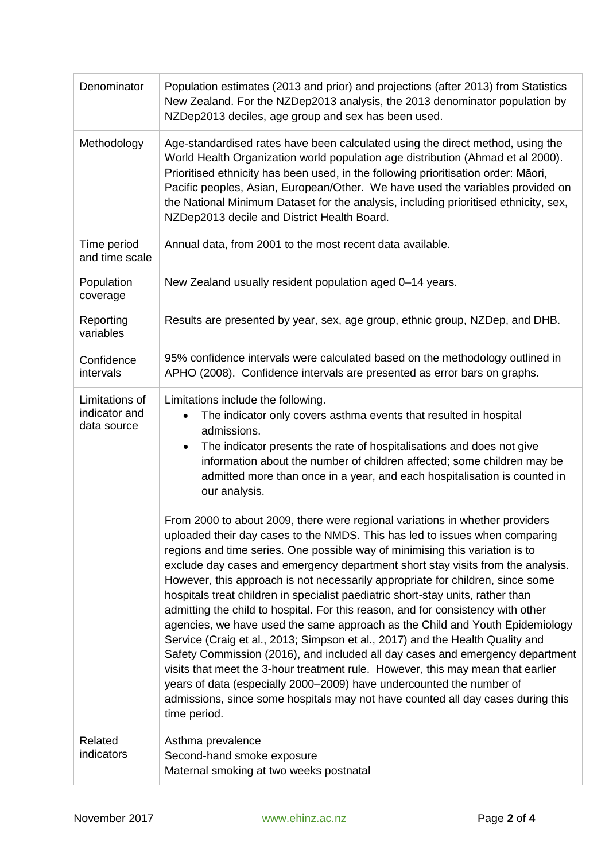| Denominator                                    | Population estimates (2013 and prior) and projections (after 2013) from Statistics<br>New Zealand. For the NZDep2013 analysis, the 2013 denominator population by<br>NZDep2013 deciles, age group and sex has been used.                                                                                                                                                                                                                                                                                                                                                                                                                                                                                                                                                                                                                                                                                                                                                                                                                                                                                                                                                                                                                                                                                                                                                                                                                                                                                      |
|------------------------------------------------|---------------------------------------------------------------------------------------------------------------------------------------------------------------------------------------------------------------------------------------------------------------------------------------------------------------------------------------------------------------------------------------------------------------------------------------------------------------------------------------------------------------------------------------------------------------------------------------------------------------------------------------------------------------------------------------------------------------------------------------------------------------------------------------------------------------------------------------------------------------------------------------------------------------------------------------------------------------------------------------------------------------------------------------------------------------------------------------------------------------------------------------------------------------------------------------------------------------------------------------------------------------------------------------------------------------------------------------------------------------------------------------------------------------------------------------------------------------------------------------------------------------|
| Methodology                                    | Age-standardised rates have been calculated using the direct method, using the<br>World Health Organization world population age distribution (Ahmad et al 2000).<br>Prioritised ethnicity has been used, in the following prioritisation order: Māori,<br>Pacific peoples, Asian, European/Other. We have used the variables provided on<br>the National Minimum Dataset for the analysis, including prioritised ethnicity, sex,<br>NZDep2013 decile and District Health Board.                                                                                                                                                                                                                                                                                                                                                                                                                                                                                                                                                                                                                                                                                                                                                                                                                                                                                                                                                                                                                              |
| Time period<br>and time scale                  | Annual data, from 2001 to the most recent data available.                                                                                                                                                                                                                                                                                                                                                                                                                                                                                                                                                                                                                                                                                                                                                                                                                                                                                                                                                                                                                                                                                                                                                                                                                                                                                                                                                                                                                                                     |
| Population<br>coverage                         | New Zealand usually resident population aged 0-14 years.                                                                                                                                                                                                                                                                                                                                                                                                                                                                                                                                                                                                                                                                                                                                                                                                                                                                                                                                                                                                                                                                                                                                                                                                                                                                                                                                                                                                                                                      |
| Reporting<br>variables                         | Results are presented by year, sex, age group, ethnic group, NZDep, and DHB.                                                                                                                                                                                                                                                                                                                                                                                                                                                                                                                                                                                                                                                                                                                                                                                                                                                                                                                                                                                                                                                                                                                                                                                                                                                                                                                                                                                                                                  |
| Confidence<br>intervals                        | 95% confidence intervals were calculated based on the methodology outlined in<br>APHO (2008). Confidence intervals are presented as error bars on graphs.                                                                                                                                                                                                                                                                                                                                                                                                                                                                                                                                                                                                                                                                                                                                                                                                                                                                                                                                                                                                                                                                                                                                                                                                                                                                                                                                                     |
| Limitations of<br>indicator and<br>data source | Limitations include the following.<br>The indicator only covers asthma events that resulted in hospital<br>$\bullet$<br>admissions.<br>The indicator presents the rate of hospitalisations and does not give<br>$\bullet$<br>information about the number of children affected; some children may be<br>admitted more than once in a year, and each hospitalisation is counted in<br>our analysis.<br>From 2000 to about 2009, there were regional variations in whether providers<br>uploaded their day cases to the NMDS. This has led to issues when comparing<br>regions and time series. One possible way of minimising this variation is to<br>exclude day cases and emergency department short stay visits from the analysis.<br>However, this approach is not necessarily appropriate for children, since some<br>hospitals treat children in specialist paediatric short-stay units, rather than<br>admitting the child to hospital. For this reason, and for consistency with other<br>agencies, we have used the same approach as the Child and Youth Epidemiology<br>Service (Craig et al., 2013; Simpson et al., 2017) and the Health Quality and<br>Safety Commission (2016), and included all day cases and emergency department<br>visits that meet the 3-hour treatment rule. However, this may mean that earlier<br>years of data (especially 2000-2009) have undercounted the number of<br>admissions, since some hospitals may not have counted all day cases during this<br>time period. |
| Related<br>indicators                          | Asthma prevalence<br>Second-hand smoke exposure<br>Maternal smoking at two weeks postnatal                                                                                                                                                                                                                                                                                                                                                                                                                                                                                                                                                                                                                                                                                                                                                                                                                                                                                                                                                                                                                                                                                                                                                                                                                                                                                                                                                                                                                    |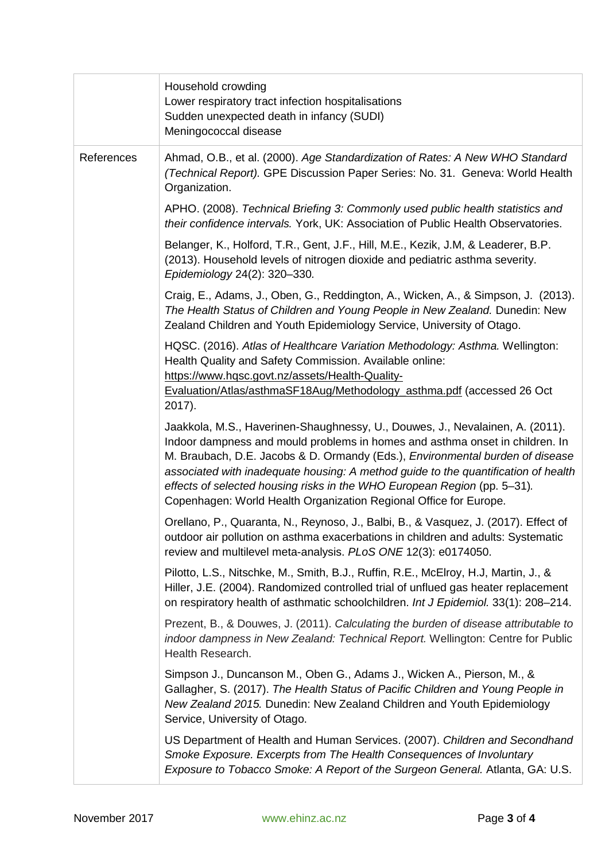|            | Household crowding<br>Lower respiratory tract infection hospitalisations<br>Sudden unexpected death in infancy (SUDI)<br>Meningococcal disease                                                                                                                                                                                                                                                                                                                                                  |
|------------|-------------------------------------------------------------------------------------------------------------------------------------------------------------------------------------------------------------------------------------------------------------------------------------------------------------------------------------------------------------------------------------------------------------------------------------------------------------------------------------------------|
| References | Ahmad, O.B., et al. (2000). Age Standardization of Rates: A New WHO Standard<br>(Technical Report). GPE Discussion Paper Series: No. 31. Geneva: World Health<br>Organization.                                                                                                                                                                                                                                                                                                                  |
|            | APHO. (2008). Technical Briefing 3: Commonly used public health statistics and<br>their confidence intervals. York, UK: Association of Public Health Observatories.                                                                                                                                                                                                                                                                                                                             |
|            | Belanger, K., Holford, T.R., Gent, J.F., Hill, M.E., Kezik, J.M, & Leaderer, B.P.<br>(2013). Household levels of nitrogen dioxide and pediatric asthma severity.<br>Epidemiology 24(2): 320-330.                                                                                                                                                                                                                                                                                                |
|            | Craig, E., Adams, J., Oben, G., Reddington, A., Wicken, A., & Simpson, J. (2013).<br>The Health Status of Children and Young People in New Zealand. Dunedin: New<br>Zealand Children and Youth Epidemiology Service, University of Otago.                                                                                                                                                                                                                                                       |
|            | HQSC. (2016). Atlas of Healthcare Variation Methodology: Asthma. Wellington:<br>Health Quality and Safety Commission. Available online:<br>https://www.hqsc.govt.nz/assets/Health-Quality-<br>Evaluation/Atlas/asthmaSF18Aug/Methodology_asthma.pdf (accessed 26 Oct                                                                                                                                                                                                                            |
|            | 2017).<br>Jaakkola, M.S., Haverinen-Shaughnessy, U., Douwes, J., Nevalainen, A. (2011).<br>Indoor dampness and mould problems in homes and asthma onset in children. In<br>M. Braubach, D.E. Jacobs & D. Ormandy (Eds.), Environmental burden of disease<br>associated with inadequate housing: A method guide to the quantification of health<br>effects of selected housing risks in the WHO European Region (pp. 5-31).<br>Copenhagen: World Health Organization Regional Office for Europe. |
|            | Orellano, P., Quaranta, N., Reynoso, J., Balbi, B., & Vasquez, J. (2017). Effect of<br>outdoor air pollution on asthma exacerbations in children and adults: Systematic<br>review and multilevel meta-analysis. PLoS ONE 12(3): e0174050.                                                                                                                                                                                                                                                       |
|            | Pilotto, L.S., Nitschke, M., Smith, B.J., Ruffin, R.E., McElroy, H.J, Martin, J., &<br>Hiller, J.E. (2004). Randomized controlled trial of unflued gas heater replacement<br>on respiratory health of asthmatic schoolchildren. Int J Epidemiol. 33(1): 208-214.                                                                                                                                                                                                                                |
|            | Prezent, B., & Douwes, J. (2011). Calculating the burden of disease attributable to<br>indoor dampness in New Zealand: Technical Report. Wellington: Centre for Public<br>Health Research.                                                                                                                                                                                                                                                                                                      |
|            | Simpson J., Duncanson M., Oben G., Adams J., Wicken A., Pierson, M., &<br>Gallagher, S. (2017). The Health Status of Pacific Children and Young People in<br>New Zealand 2015. Dunedin: New Zealand Children and Youth Epidemiology<br>Service, University of Otago.                                                                                                                                                                                                                            |
|            | US Department of Health and Human Services. (2007). Children and Secondhand<br>Smoke Exposure. Excerpts from The Health Consequences of Involuntary<br>Exposure to Tobacco Smoke: A Report of the Surgeon General. Atlanta, GA: U.S.                                                                                                                                                                                                                                                            |